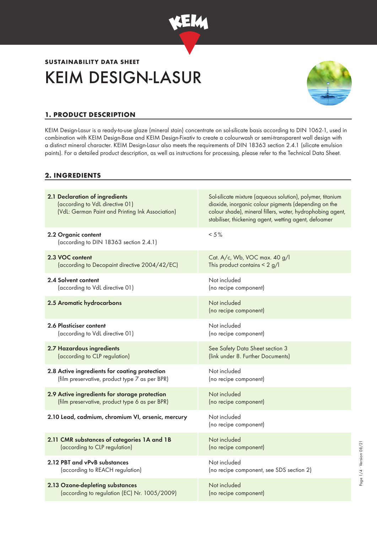

# KEIM DESIGN-LASUR **SUSTAINABILITY DATA SHEET**



# **1. PRODUCT DESCRIPTION**

KEIM Design-Lasur is a ready-to-use glaze (mineral stain) concentrate on sol-silicate basis according to DIN 1062-1, used in combination with KEIM Design-Base and KEIM Design-Fixativ to create a colourwash or semi-transparent wall design with a distinct mineral character. KEIM Design-Lasur also meets the requirements of DIN 18363 section 2.4.1 (silicate emulsion paints). For a detailed product description, as well as instructions for processing, please refer to the Technical Data Sheet.

## **2. INGREDIENTS**

| 2.1 Declaration of ingredients<br>(according to VdL directive 01)<br>(VdL: German Paint and Printing Ink Association) | Sol-silicate mixture (aqueous solution), polymer, titanium<br>dioxide, inorganic colour pigments (depending on the<br>colour shade), mineral fillers, water, hydrophobing agent,<br>stabiliser, thickening agent, wetting agent, defoamer |
|-----------------------------------------------------------------------------------------------------------------------|-------------------------------------------------------------------------------------------------------------------------------------------------------------------------------------------------------------------------------------------|
| 2.2 Organic content<br>(according to DIN 18363 section 2.4.1)                                                         | $< 5\%$                                                                                                                                                                                                                                   |
| 2.3 VOC content                                                                                                       | Cat. A/c, Wb, VOC max. 40 g/l                                                                                                                                                                                                             |
| (according to Decopaint directive 2004/42/EC)                                                                         | This product contains $< 2$ g/l                                                                                                                                                                                                           |
| 2.4 Solvent content                                                                                                   | Not included                                                                                                                                                                                                                              |
| (according to VdL directive 01)                                                                                       | (no recipe component)                                                                                                                                                                                                                     |
| 2.5 Aromatic hydrocarbons                                                                                             | Not included<br>(no recipe component)                                                                                                                                                                                                     |
| 2.6 Plasticiser content                                                                                               | Not included                                                                                                                                                                                                                              |
| (according to VdL directive 01)                                                                                       | (no recipe component)                                                                                                                                                                                                                     |
| 2.7 Hazardous ingredients                                                                                             | See Safety Data Sheet section 3                                                                                                                                                                                                           |
| (according to CLP regulation)                                                                                         | (link under 8. Further Documents)                                                                                                                                                                                                         |
| 2.8 Active ingredients for coating protection                                                                         | Not included                                                                                                                                                                                                                              |
| (film preservative, product type 7 as per BPR)                                                                        | (no recipe component)                                                                                                                                                                                                                     |
| 2.9 Active ingredients for storage protection                                                                         | Not included                                                                                                                                                                                                                              |
| (film preservative, product type 6 as per BPR)                                                                        | (no recipe component)                                                                                                                                                                                                                     |
| 2.10 Lead, cadmium, chromium VI, arsenic, mercury                                                                     | Not included<br>(no recipe component)                                                                                                                                                                                                     |
| 2.11 CMR substances of categories 1A and 1B                                                                           | Not included                                                                                                                                                                                                                              |
| (according to CLP regulation)                                                                                         | (no recipe component)                                                                                                                                                                                                                     |
| 2.12 PBT and vPvB substances                                                                                          | Not included                                                                                                                                                                                                                              |
| (according to REACH regulation)                                                                                       | (no recipe component, see SDS section 2)                                                                                                                                                                                                  |
| 2.13 Ozone-depleting substances                                                                                       | Not included                                                                                                                                                                                                                              |
| (according to regulation (EC) Nr. 1005/2009)                                                                          | (no recipe component)                                                                                                                                                                                                                     |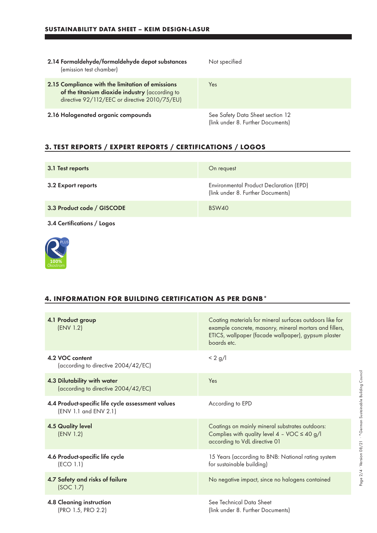| 2.14 Formaldehyde/formaldehyde depot substances<br>(emission test chamber)                                                                          | Not specified                                                         |
|-----------------------------------------------------------------------------------------------------------------------------------------------------|-----------------------------------------------------------------------|
| 2.15 Compliance with the limitation of emissions<br>of the titanium dioxide industry (according to<br>directive 92/112/EEC or directive 2010/75/EU) | Yes                                                                   |
| 2.16 Halogenated organic compounds                                                                                                                  | See Safety Data Sheet section 12<br>(link under 8. Further Documents) |

# **3. TEST REPORTS / EXPERT REPORTS / CERTIFICATIONS / LOGOS**

| 3.1 Test reports           | On request                                                                   |
|----------------------------|------------------------------------------------------------------------------|
| 3.2 Export reports         | Environmental Product Declaration (EPD)<br>(link under 8. Further Documents) |
| 3.3 Product code / GISCODE | BSW40                                                                        |
| 3.4 Certifications / Logos |                                                                              |



#### **4. INFORMATION FOR BUILDING CERTIFICATION AS PER DGNB\***

| 4.1 Product group<br>(ENV 1.2)                                             | Coating materials for mineral surfaces outdoors like for<br>example concrete, masonry, mineral mortars and fillers,<br>ETICS, wallpaper (facade wallpaper), gypsum plaster<br>boards etc. |
|----------------------------------------------------------------------------|-------------------------------------------------------------------------------------------------------------------------------------------------------------------------------------------|
| 4.2 VOC content<br>(according to directive 2004/42/EC)                     | $< 2$ g/l                                                                                                                                                                                 |
| 4.3 Dilutability with water<br>(according to directive 2004/42/EC)         | Yes                                                                                                                                                                                       |
| 4.4 Product-specific life cycle assessment values<br>(ENV 1.1 and ENV 2.1) | According to EPD                                                                                                                                                                          |
| <b>4.5 Quality level</b><br>(ENV 1.2)                                      | Coatings on mainly mineral substrates outdoors:<br>Complies with quality level $4 - \sqrt{OC} \le 40$ g/l<br>according to VdL directive 01                                                |
| 4.6 Product-specific life cycle<br>(ECO 1.1)                               | 15 Years (according to BNB: National rating system<br>for sustainable building)                                                                                                           |
| 4.7 Safety and risks of failure<br>(SOC 1.7)                               | No negative impact, since no halogens contained                                                                                                                                           |
| <b>4.8 Cleaning instruction</b><br>(PRO 1.5, PRO 2.2)                      | See Technical Data Sheet<br>(link under 8. Further Documents)                                                                                                                             |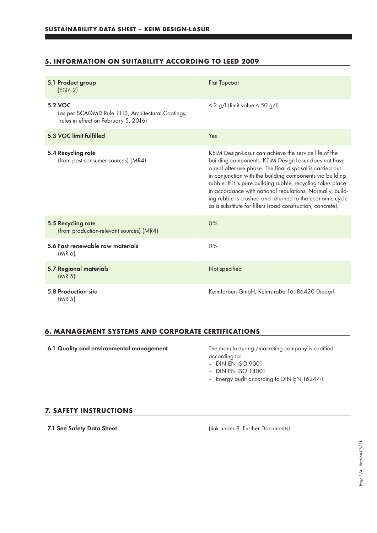## **5. INFORMATION ON SUITABILITY ACCORDING TO LEED 2009**

| 5.1 Product group<br>EG4.2)                                                                          | <b>Flat Topcoat</b>                                                                                                                                                                                                                                                                                                                                                                                                                                                                           |
|------------------------------------------------------------------------------------------------------|-----------------------------------------------------------------------------------------------------------------------------------------------------------------------------------------------------------------------------------------------------------------------------------------------------------------------------------------------------------------------------------------------------------------------------------------------------------------------------------------------|
| 5.2 VOC<br>(as per SCAQMD Rule 1113, Architectural Coatings,<br>rules in effect on February 5, 2016) | $< 2$ g/l (limit value $< 50$ g/l)                                                                                                                                                                                                                                                                                                                                                                                                                                                            |
| 5.3 VOC limit fulfilled                                                                              | Yes                                                                                                                                                                                                                                                                                                                                                                                                                                                                                           |
| 5.4 Recycling rate<br>(from post-consumer sources) (MR4)                                             | KEIM Design-Lasur can achieve the service life of the<br>building components. KEIM Design-Lasur does not have<br>a real after-use phase. The final disposal is carried out<br>in conjunction with the building components via building<br>rubble. If it is pure building rubble, recycling takes place<br>in accordance with national regulations. Normally, build-<br>ing rubble is crushed and returned to the economic cycle<br>as a substitute for fillers (road construction, concrete). |
| 5.5 Recycling rate<br>(from production-relevant sources) (MR4)                                       | 0%                                                                                                                                                                                                                                                                                                                                                                                                                                                                                            |
| 5.6 Fast renewable raw materials<br>(MR 6)                                                           | 0%                                                                                                                                                                                                                                                                                                                                                                                                                                                                                            |
| <b>5.7 Regional materials</b><br>(MR <sub>5</sub> )                                                  | Not specified                                                                                                                                                                                                                                                                                                                                                                                                                                                                                 |
| 5.8 Production site<br>(MR 5)                                                                        | Keimfarben GmbH, Keimstraße 16, 86420 Diedorf                                                                                                                                                                                                                                                                                                                                                                                                                                                 |

### **6. MANAGEMENT SYSTEMS AND CORPORATE CERTIFICATIONS**

6.1 Quality and environmental management The manufacturing /marketing company is certified

according to:

– DIN EN ISO 9001

- DIN EN ISO 14001
- Energy audit according to DIN EN 16247-1

#### **7. SAFETY INSTRUCTIONS**

7.1 See Safety Data Sheet (link under 8. Further Documents)